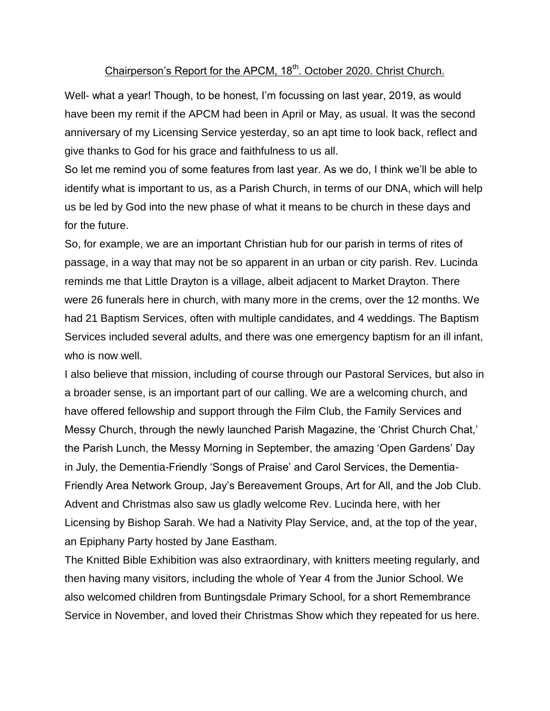## Chairperson's Report for the APCM, 18<sup>th</sup>. October 2020. Christ Church.

Well- what a year! Though, to be honest, I'm focussing on last year, 2019, as would have been my remit if the APCM had been in April or May, as usual. It was the second anniversary of my Licensing Service yesterday, so an apt time to look back, reflect and give thanks to God for his grace and faithfulness to us all.

So let me remind you of some features from last year. As we do, I think we'll be able to identify what is important to us, as a Parish Church, in terms of our DNA, which will help us be led by God into the new phase of what it means to be church in these days and for the future.

So, for example, we are an important Christian hub for our parish in terms of rites of passage, in a way that may not be so apparent in an urban or city parish. Rev. Lucinda reminds me that Little Drayton is a village, albeit adjacent to Market Drayton. There were 26 funerals here in church, with many more in the crems, over the 12 months. We had 21 Baptism Services, often with multiple candidates, and 4 weddings. The Baptism Services included several adults, and there was one emergency baptism for an ill infant, who is now well.

I also believe that mission, including of course through our Pastoral Services, but also in a broader sense, is an important part of our calling. We are a welcoming church, and have offered fellowship and support through the Film Club, the Family Services and Messy Church, through the newly launched Parish Magazine, the 'Christ Church Chat,' the Parish Lunch, the Messy Morning in September, the amazing 'Open Gardens' Day in July, the Dementia-Friendly 'Songs of Praise' and Carol Services, the Dementia-Friendly Area Network Group, Jay's Bereavement Groups, Art for All, and the Job Club. Advent and Christmas also saw us gladly welcome Rev. Lucinda here, with her Licensing by Bishop Sarah. We had a Nativity Play Service, and, at the top of the year, an Epiphany Party hosted by Jane Eastham.

The Knitted Bible Exhibition was also extraordinary, with knitters meeting regularly, and then having many visitors, including the whole of Year 4 from the Junior School. We also welcomed children from Buntingsdale Primary School, for a short Remembrance Service in November, and loved their Christmas Show which they repeated for us here.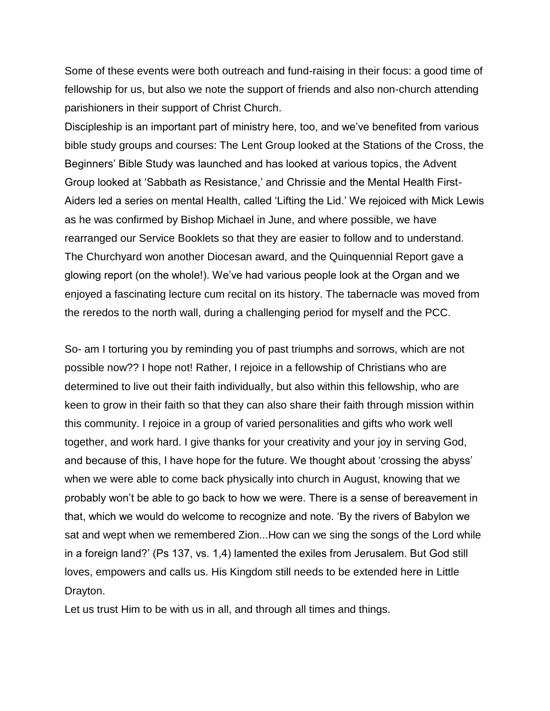Some of these events were both outreach and fund-raising in their focus: a good time of fellowship for us, but also we note the support of friends and also non-church attending parishioners in their support of Christ Church.

Discipleship is an important part of ministry here, too, and we've benefited from various bible study groups and courses: The Lent Group looked at the Stations of the Cross, the Beginners' Bible Study was launched and has looked at various topics, the Advent Group looked at 'Sabbath as Resistance,' and Chrissie and the Mental Health First-Aiders led a series on mental Health, called 'Lifting the Lid.' We rejoiced with Mick Lewis as he was confirmed by Bishop Michael in June, and where possible, we have rearranged our Service Booklets so that they are easier to follow and to understand. The Churchyard won another Diocesan award, and the Quinquennial Report gave a glowing report (on the whole!). We've had various people look at the Organ and we enjoyed a fascinating lecture cum recital on its history. The tabernacle was moved from the reredos to the north wall, during a challenging period for myself and the PCC.

So- am I torturing you by reminding you of past triumphs and sorrows, which are not possible now?? I hope not! Rather, I rejoice in a fellowship of Christians who are determined to live out their faith individually, but also within this fellowship, who are keen to grow in their faith so that they can also share their faith through mission within this community. I rejoice in a group of varied personalities and gifts who work well together, and work hard. I give thanks for your creativity and your joy in serving God, and because of this, I have hope for the future. We thought about 'crossing the abyss' when we were able to come back physically into church in August, knowing that we probably won't be able to go back to how we were. There is a sense of bereavement in that, which we would do welcome to recognize and note. 'By the rivers of Babylon we sat and wept when we remembered Zion...How can we sing the songs of the Lord while in a foreign land?' (Ps 137, vs. 1,4) lamented the exiles from Jerusalem. But God still loves, empowers and calls us. His Kingdom still needs to be extended here in Little Drayton.

Let us trust Him to be with us in all, and through all times and things.